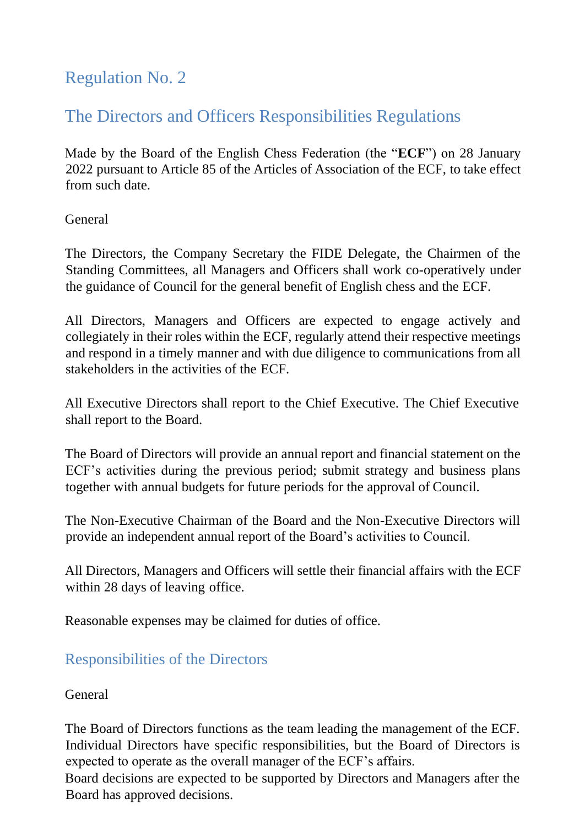### Regulation No. 2

## The Directors and Officers Responsibilities Regulations

Made by the Board of the English Chess Federation (the "**ECF**") on 28 January 2022 pursuant to Article 85 of the Articles of Association of the ECF, to take effect from such date.

General

The Directors, the Company Secretary the FIDE Delegate, the Chairmen of the Standing Committees, all Managers and Officers shall work co-operatively under the guidance of Council for the general benefit of English chess and the ECF.

All Directors, Managers and Officers are expected to engage actively and collegiately in their roles within the ECF, regularly attend their respective meetings and respond in a timely manner and with due diligence to communications from all stakeholders in the activities of the ECF.

All Executive Directors shall report to the Chief Executive. The Chief Executive shall report to the Board.

The Board of Directors will provide an annual report and financial statement on the ECF's activities during the previous period; submit strategy and business plans together with annual budgets for future periods for the approval of Council.

The Non-Executive Chairman of the Board and the Non-Executive Directors will provide an independent annual report of the Board's activities to Council.

All Directors, Managers and Officers will settle their financial affairs with the ECF within 28 days of leaving office.

Reasonable expenses may be claimed for duties of office.

#### Responsibilities of the Directors

General

The Board of Directors functions as the team leading the management of the ECF. Individual Directors have specific responsibilities, but the Board of Directors is expected to operate as the overall manager of the ECF's affairs.

Board decisions are expected to be supported by Directors and Managers after the Board has approved decisions.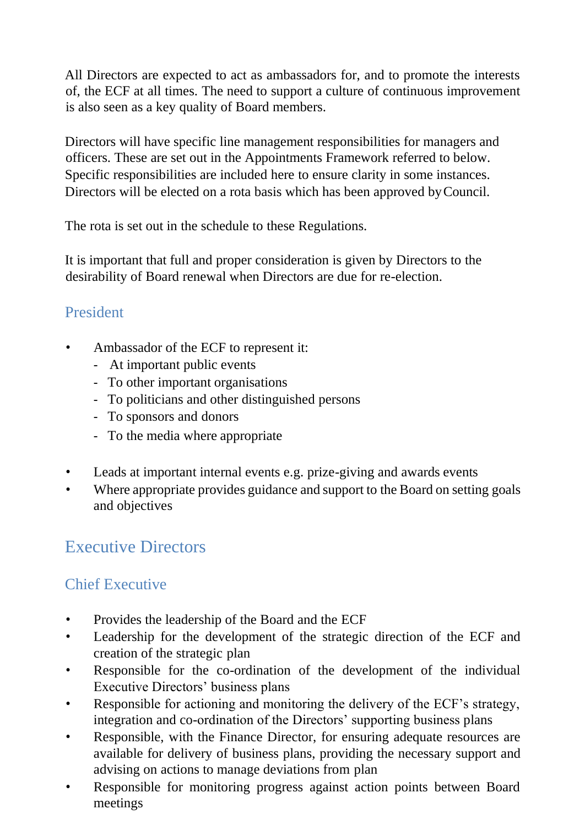All Directors are expected to act as ambassadors for, and to promote the interests of, the ECF at all times. The need to support a culture of continuous improvement is also seen as a key quality of Board members.

Directors will have specific line management responsibilities for managers and officers. These are set out in the Appointments Framework referred to below. Specific responsibilities are included here to ensure clarity in some instances. Directors will be elected on a rota basis which has been approved byCouncil.

The rota is set out in the schedule to these Regulations.

It is important that full and proper consideration is given by Directors to the desirability of Board renewal when Directors are due for re-election.

### President

- Ambassador of the ECF to represent it:
	- At important public events
	- To other important organisations
	- To politicians and other distinguished persons
	- To sponsors and donors
	- To the media where appropriate
- Leads at important internal events e.g. prize-giving and awards events
- Where appropriate provides guidance and support to the Board on setting goals and objectives

# Executive Directors

## Chief Executive

- Provides the leadership of the Board and the ECF
- Leadership for the development of the strategic direction of the ECF and creation of the strategic plan
- Responsible for the co-ordination of the development of the individual Executive Directors' business plans
- Responsible for actioning and monitoring the delivery of the ECF's strategy, integration and co-ordination of the Directors' supporting business plans
- Responsible, with the Finance Director, for ensuring adequate resources are available for delivery of business plans, providing the necessary support and advising on actions to manage deviations from plan
- Responsible for monitoring progress against action points between Board meetings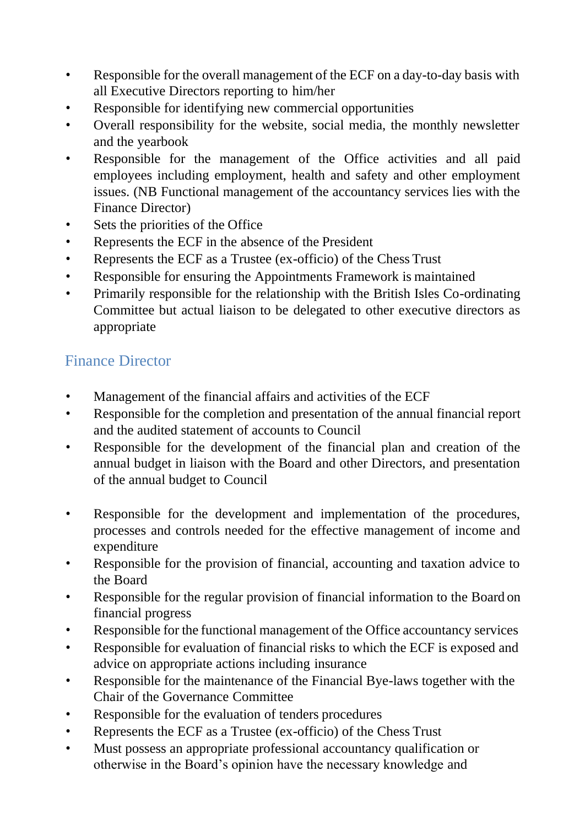- Responsible for the overall management of the ECF on a day-to-day basis with all Executive Directors reporting to him/her
- Responsible for identifying new commercial opportunities
- Overall responsibility for the website, social media, the monthly newsletter and the yearbook
- Responsible for the management of the Office activities and all paid employees including employment, health and safety and other employment issues. (NB Functional management of the accountancy services lies with the Finance Director)
- Sets the priorities of the Office
- Represents the ECF in the absence of the President
- Represents the ECF as a Trustee (ex-officio) of the Chess Trust
- Responsible for ensuring the Appointments Framework is maintained
- Primarily responsible for the relationship with the British Isles Co-ordinating Committee but actual liaison to be delegated to other executive directors as appropriate

### Finance Director

- Management of the financial affairs and activities of the ECF
- Responsible for the completion and presentation of the annual financial report and the audited statement of accounts to Council
- Responsible for the development of the financial plan and creation of the annual budget in liaison with the Board and other Directors, and presentation of the annual budget to Council
- Responsible for the development and implementation of the procedures, processes and controls needed for the effective management of income and expenditure
- Responsible for the provision of financial, accounting and taxation advice to the Board
- Responsible for the regular provision of financial information to the Board on financial progress
- Responsible for the functional management of the Office accountancy services
- Responsible for evaluation of financial risks to which the ECF is exposed and advice on appropriate actions including insurance
- Responsible for the maintenance of the Financial Bye-laws together with the Chair of the Governance Committee
- Responsible for the evaluation of tenders procedures
- Represents the ECF as a Trustee (ex-officio) of the Chess Trust
- Must possess an appropriate professional accountancy qualification or otherwise in the Board's opinion have the necessary knowledge and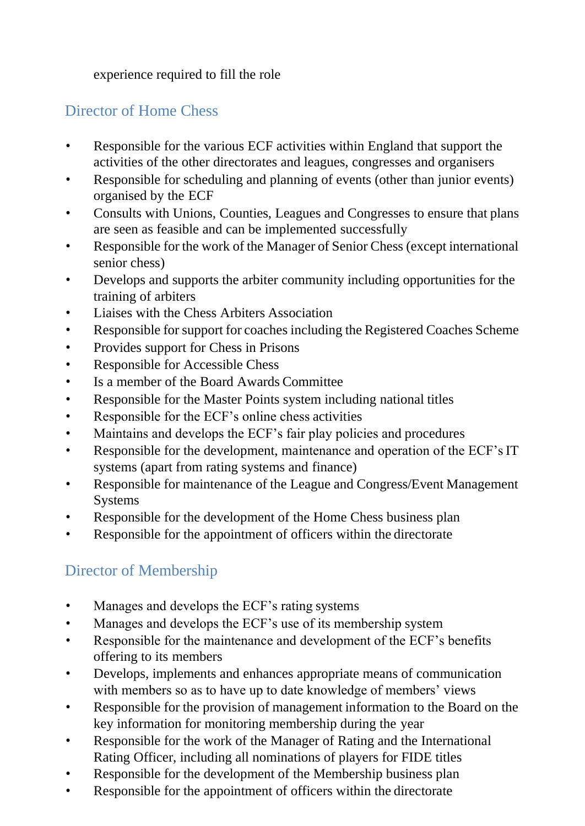experience required to fill the role

### Director of Home Chess

- Responsible for the various ECF activities within England that support the activities of the other directorates and leagues, congresses and organisers
- Responsible for scheduling and planning of events (other than junior events) organised by the ECF
- Consults with Unions, Counties, Leagues and Congresses to ensure that plans are seen as feasible and can be implemented successfully
- Responsible for the work of the Manager of Senior Chess (except international senior chess)
- Develops and supports the arbiter community including opportunities for the training of arbiters
- Liaises with the Chess Arbiters Association
- Responsible for support for coaches including the Registered Coaches Scheme
- Provides support for Chess in Prisons
- Responsible for Accessible Chess
- Is a member of the Board Awards Committee
- Responsible for the Master Points system including national titles
- Responsible for the ECF's online chess activities
- Maintains and develops the ECF's fair play policies and procedures
- Responsible for the development, maintenance and operation of the ECF's IT systems (apart from rating systems and finance)
- Responsible for maintenance of the League and Congress/Event Management **Systems**
- Responsible for the development of the Home Chess business plan
- Responsible for the appointment of officers within the directorate

### Director of Membership

- Manages and develops the ECF's rating systems
- Manages and develops the ECF's use of its membership system
- Responsible for the maintenance and development of the ECF's benefits offering to its members
- Develops, implements and enhances appropriate means of communication with members so as to have up to date knowledge of members' views
- Responsible for the provision of management information to the Board on the key information for monitoring membership during the year
- Responsible for the work of the Manager of Rating and the International Rating Officer, including all nominations of players for FIDE titles
- Responsible for the development of the Membership business plan
- Responsible for the appointment of officers within the directorate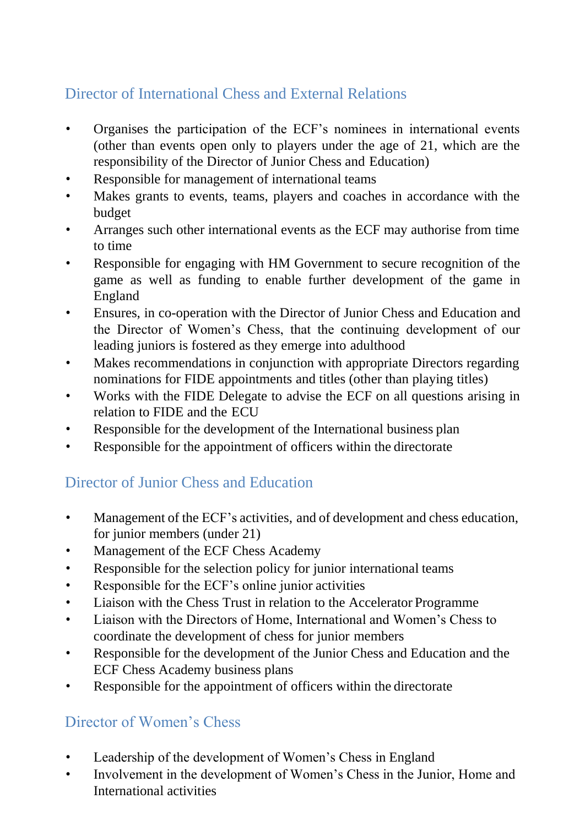### Director of International Chess and External Relations

- Organises the participation of the ECF's nominees in international events (other than events open only to players under the age of 21, which are the responsibility of the Director of Junior Chess and Education)
- Responsible for management of international teams
- Makes grants to events, teams, players and coaches in accordance with the budget
- Arranges such other international events as the ECF may authorise from time to time
- Responsible for engaging with HM Government to secure recognition of the game as well as funding to enable further development of the game in England
- Ensures, in co-operation with the Director of Junior Chess and Education and the Director of Women's Chess, that the continuing development of our leading juniors is fostered as they emerge into adulthood
- Makes recommendations in conjunction with appropriate Directors regarding nominations for FIDE appointments and titles (other than playing titles)
- Works with the FIDE Delegate to advise the ECF on all questions arising in relation to FIDE and the ECU
- Responsible for the development of the International business plan
- Responsible for the appointment of officers within the directorate

### Director of Junior Chess and Education

- Management of the ECF's activities, and of development and chess education, for junior members (under 21)
- Management of the ECF Chess Academy
- Responsible for the selection policy for junior international teams
- Responsible for the ECF's online junior activities
- Liaison with the Chess Trust in relation to the Accelerator Programme
- Liaison with the Directors of Home, International and Women's Chess to coordinate the development of chess for junior members
- Responsible for the development of the Junior Chess and Education and the ECF Chess Academy business plans
- Responsible for the appointment of officers within the directorate

### Director of Women's Chess

- Leadership of the development of Women's Chess in England
- Involvement in the development of Women's Chess in the Junior, Home and International activities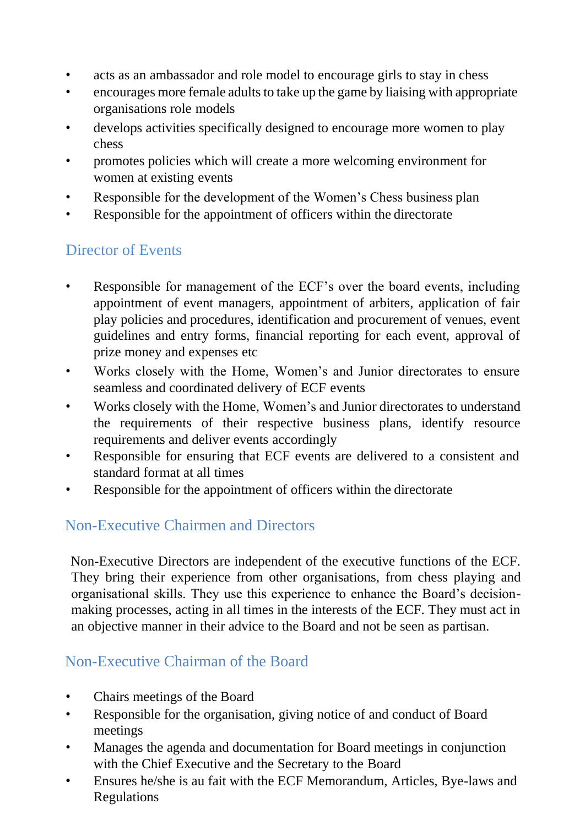- acts as an ambassador and role model to encourage girls to stay in chess
- encourages more female adults to take up the game by liaising with appropriate organisations role models
- develops activities specifically designed to encourage more women to play chess
- promotes policies which will create a more welcoming environment for women at existing events
- Responsible for the development of the Women's Chess business plan
- Responsible for the appointment of officers within the directorate

### Director of Events

- Responsible for management of the ECF's over the board events, including appointment of event managers, appointment of arbiters, application of fair play policies and procedures, identification and procurement of venues, event guidelines and entry forms, financial reporting for each event, approval of prize money and expenses etc
- Works closely with the Home, Women's and Junior directorates to ensure seamless and coordinated delivery of ECF events
- Works closely with the Home, Women's and Junior directorates to understand the requirements of their respective business plans, identify resource requirements and deliver events accordingly
- Responsible for ensuring that ECF events are delivered to a consistent and standard format at all times
- Responsible for the appointment of officers within the directorate

### Non-Executive Chairmen and Directors

Non-Executive Directors are independent of the executive functions of the ECF. They bring their experience from other organisations, from chess playing and organisational skills. They use this experience to enhance the Board's decisionmaking processes, acting in all times in the interests of the ECF. They must act in an objective manner in their advice to the Board and not be seen as partisan.

### Non-Executive Chairman of the Board

- Chairs meetings of the Board
- Responsible for the organisation, giving notice of and conduct of Board meetings
- Manages the agenda and documentation for Board meetings in conjunction with the Chief Executive and the Secretary to the Board
- Ensures he/she is au fait with the ECF Memorandum, Articles, Bye-laws and Regulations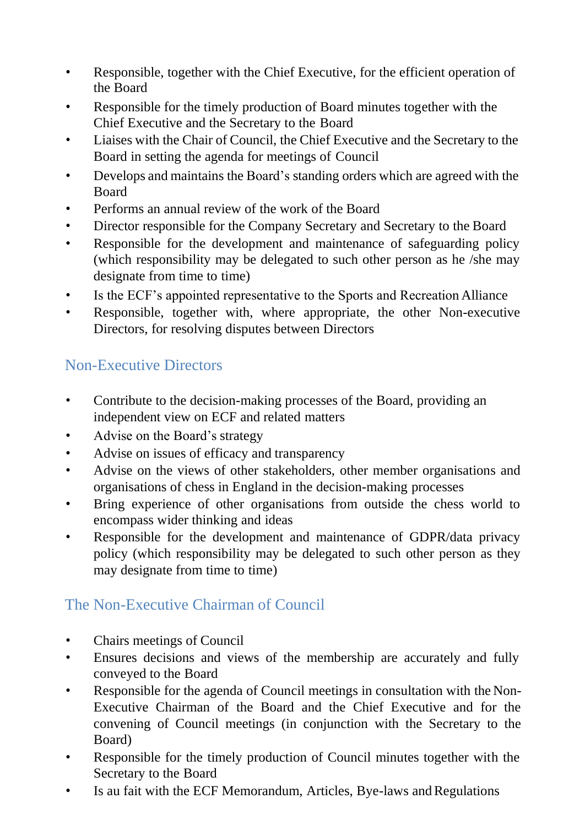- Responsible, together with the Chief Executive, for the efficient operation of the Board
- Responsible for the timely production of Board minutes together with the Chief Executive and the Secretary to the Board
- Liaises with the Chair of Council, the Chief Executive and the Secretary to the Board in setting the agenda for meetings of Council
- Develops and maintains the Board's standing orders which are agreed with the Board
- Performs an annual review of the work of the Board
- Director responsible for the Company Secretary and Secretary to the Board
- Responsible for the development and maintenance of safeguarding policy (which responsibility may be delegated to such other person as he /she may designate from time to time)
- Is the ECF's appointed representative to the Sports and Recreation Alliance
- Responsible, together with, where appropriate, the other Non-executive Directors, for resolving disputes between Directors

#### Non-Executive Directors

- Contribute to the decision-making processes of the Board, providing an independent view on ECF and related matters
- Advise on the Board's strategy
- Advise on issues of efficacy and transparency
- Advise on the views of other stakeholders, other member organisations and organisations of chess in England in the decision-making processes
- Bring experience of other organisations from outside the chess world to encompass wider thinking and ideas
- Responsible for the development and maintenance of GDPR/data privacy policy (which responsibility may be delegated to such other person as they may designate from time to time)

#### The Non-Executive Chairman of Council

- Chairs meetings of Council
- Ensures decisions and views of the membership are accurately and fully conveyed to the Board
- Responsible for the agenda of Council meetings in consultation with the Non-Executive Chairman of the Board and the Chief Executive and for the convening of Council meetings (in conjunction with the Secretary to the Board)
- Responsible for the timely production of Council minutes together with the Secretary to the Board
- Is au fait with the ECF Memorandum, Articles, Bye-laws and Regulations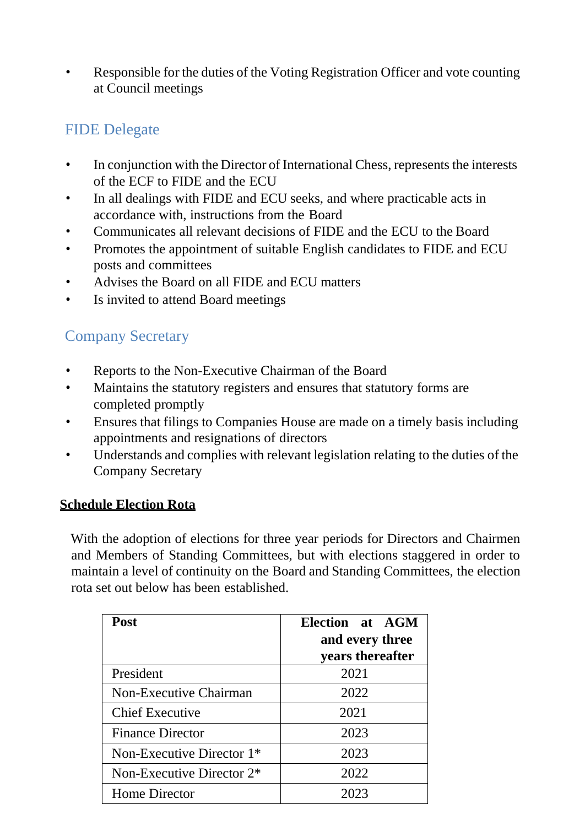• Responsible for the duties of the Voting Registration Officer and vote counting at Council meetings

#### FIDE Delegate

- In conjunction with the Director of International Chess, represents the interests of the ECF to FIDE and the ECU
- In all dealings with FIDE and ECU seeks, and where practicable acts in accordance with, instructions from the Board
- Communicates all relevant decisions of FIDE and the ECU to the Board
- Promotes the appointment of suitable English candidates to FIDE and ECU posts and committees
- Advises the Board on all FIDE and ECU matters
- Is invited to attend Board meetings

#### Company Secretary

- Reports to the Non-Executive Chairman of the Board
- Maintains the statutory registers and ensures that statutory forms are completed promptly
- Ensures that filings to Companies House are made on a timely basis including appointments and resignations of directors
- Understands and complies with relevant legislation relating to the duties of the Company Secretary

#### **Schedule Election Rota**

With the adoption of elections for three year periods for Directors and Chairmen and Members of Standing Committees, but with elections staggered in order to maintain a level of continuity on the Board and Standing Committees, the election rota set out below has been established.

| <b>Post</b>                  | Election at AGM<br>and every three |
|------------------------------|------------------------------------|
|                              | years thereafter                   |
| President                    | 2021                               |
| Non-Executive Chairman       | 2022                               |
| <b>Chief Executive</b>       | 2021                               |
| <b>Finance Director</b>      | 2023                               |
| Non-Executive Director $1*$  | 2023                               |
| Non-Executive Director $2^*$ | 2022                               |
| Home Director                | 2023                               |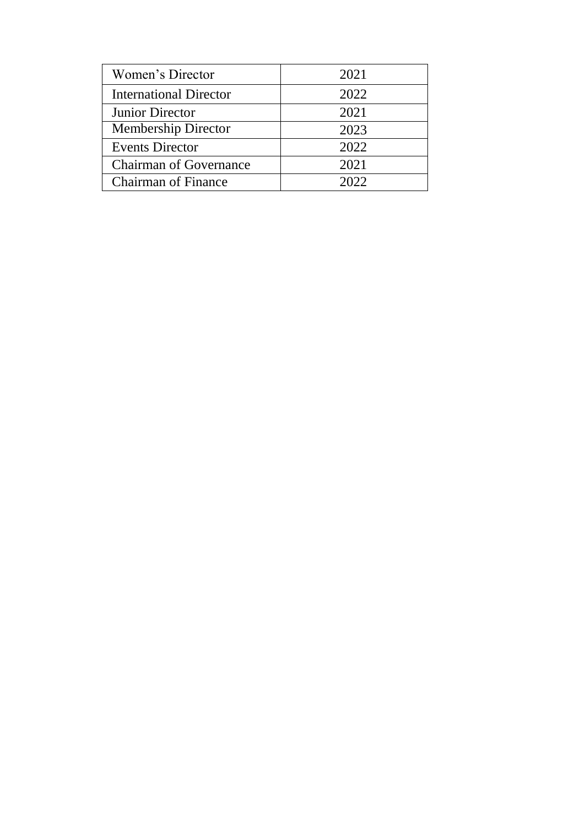| Women's Director              | 2021 |
|-------------------------------|------|
| <b>International Director</b> | 2022 |
| Junior Director               | 2021 |
| <b>Membership Director</b>    | 2023 |
| <b>Events Director</b>        | 2022 |
| <b>Chairman of Governance</b> | 2021 |
| <b>Chairman of Finance</b>    | 2022 |